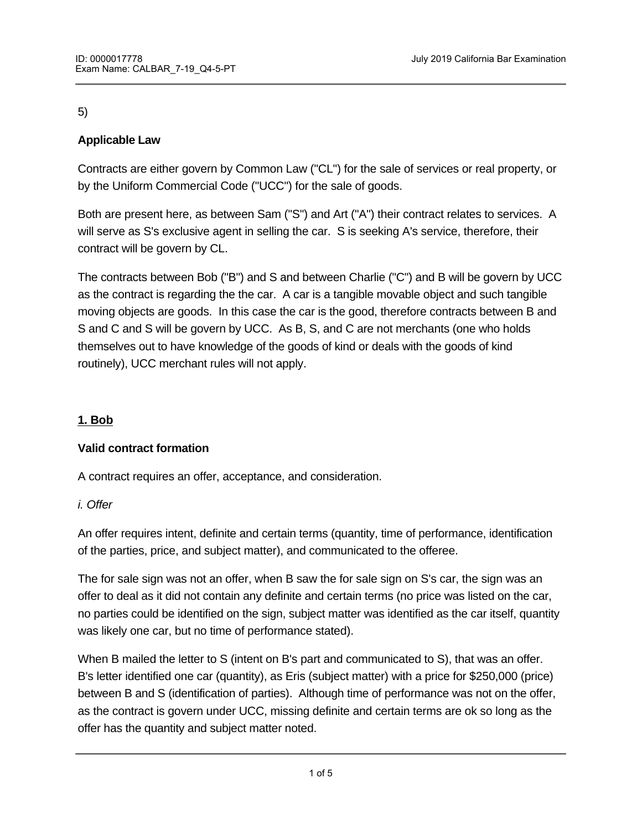# 5)

# **Applicable Law**

Contracts are either govern by Common Law ("CL") for the sale of services or real property, or by the Uniform Commercial Code ("UCC") for the sale of goods.

Both are present here, as between Sam ("S") and Art ("A") their contract relates to services. A will serve as S's exclusive agent in selling the car. S is seeking A's service, therefore, their contract will be govern by CL.

The contracts between Bob ("B") and S and between Charlie ("C") and B will be govern by UCC as the contract is regarding the the car. A car is a tangible movable object and such tangible moving objects are goods. In this case the car is the good, therefore contracts between B and S and C and S will be govern by UCC. As B, S, and C are not merchants (one who holds themselves out to have knowledge of the goods of kind or deals with the goods of kind routinely), UCC merchant rules will not apply.

# **1. Bob**

# **Valid contract formation**

B had a valid offer.

A contract requires an offer, acceptance, and consideration.

# *i. Offer*

An offer requires intent, definite and certain terms (quantity, time of performance, identification of the parties, price, and subject matter), and communicated to the offeree.

The for sale sign was not an offer, when B saw the for sale sign on S's car, the sign was an offer to deal as it did not contain any definite and certain terms (no price was listed on the car, no parties could be identified on the sign, subject matter was identified as the car itself, quantity was likely one car, but no time of performance stated).

When B mailed the letter to S (intent on B's part and communicated to S), that was an offer. B's letter identified one car (quantity), as Eris (subject matter) with a price for \$250,000 (price) between B and S (identification of parties). Although time of performance was not on the offer, as the contract is govern under UCC, missing definite and certain terms are ok so long as the offer has the quantity and subject matter noted.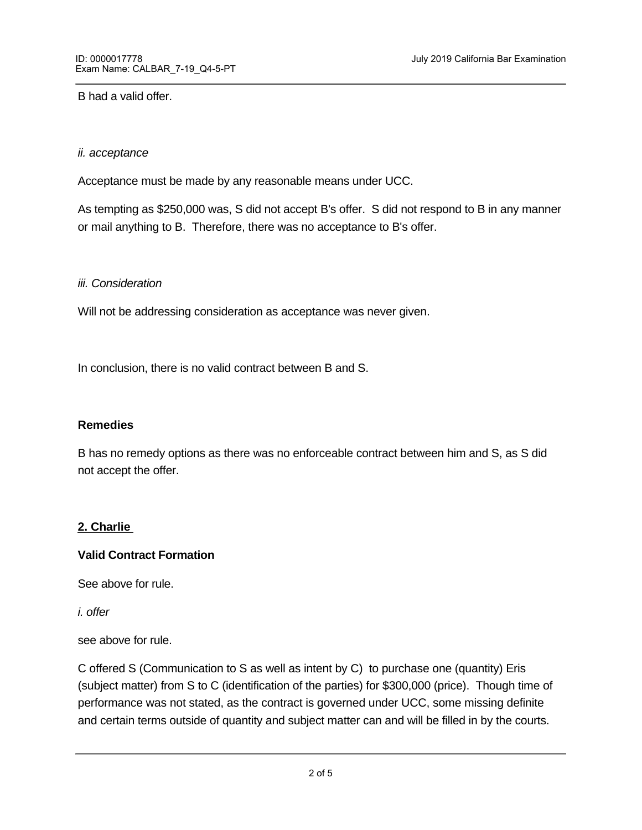#### B had a valid offer.

#### *ii. acceptance*

Acceptance must be made by any reasonable means under UCC.

As tempting as \$250,000 was, S did not accept B's offer. S did not respond to B in any manner or mail anything to B. Therefore, there was no acceptance to B's offer.

#### *iii. Consideration*

Will not be addressing consideration as acceptance was never given.

In conclusion, there is no valid contract between B and S.

#### **Remedies**

B has no remedy options as there was no enforceable contract between him and S, as S did not accept the offer.

#### **2. Charlie**

#### **Valid Contract Formation**

See above for rule.

*i. offer*

see above for rule.

C has a valid offer to S.

C offered S (Communication to S as well as intent by C) to purchase one (quantity) Eris (subject matter) from S to C (identification of the parties) for \$300,000 (price). Though time of performance was not stated, as the contract is governed under UCC, some missing definite and certain terms outside of quantity and subject matter can and will be filled in by the courts.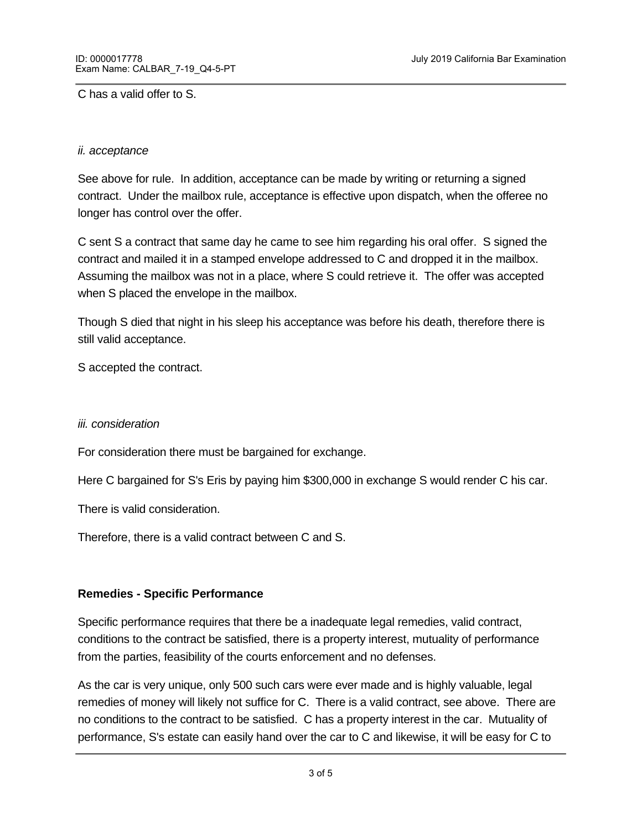C has a valid offer to S.

#### *ii. acceptance*

See above for rule. In addition, acceptance can be made by writing or returning a signed contract. Under the mailbox rule, acceptance is effective upon dispatch, when the offeree no longer has control over the offer.

C sent S a contract that same day he came to see him regarding his oral offer. S signed the contract and mailed it in a stamped envelope addressed to C and dropped it in the mailbox. Assuming the mailbox was not in a place, where S could retrieve it. The offer was accepted when S placed the envelope in the mailbox.

Though S died that night in his sleep his acceptance was before his death, therefore there is still valid acceptance.

S accepted the contract.

#### *iii. consideration*

For consideration there must be bargained for exchange.

Here C bargained for S's Eris by paying him \$300,000 in exchange S would render C his car.

There is valid consideration.

Therefore, there is a valid contract between C and S.

#### **Remedies - Specific Performance**

Specific performance requires that there be a inadequate legal remedies, valid contract, conditions to the contract be satisfied, there is a property interest, mutuality of performance from the parties, feasibility of the courts enforcement and no defenses.

As the car is very unique, only 500 such cars were ever made and is highly valuable, legal remedies of money will likely not suffice for C. There is a valid contract, see above. There are no conditions to the contract to be satisfied. C has a property interest in the car. Mutuality of performance, S's estate can easily hand over the car to C and likewise, it will be easy for C to

cut a contribution  $\mathcal{S}$  on the courts to enforce as it would be a one-the courts to enforce as it would be a one-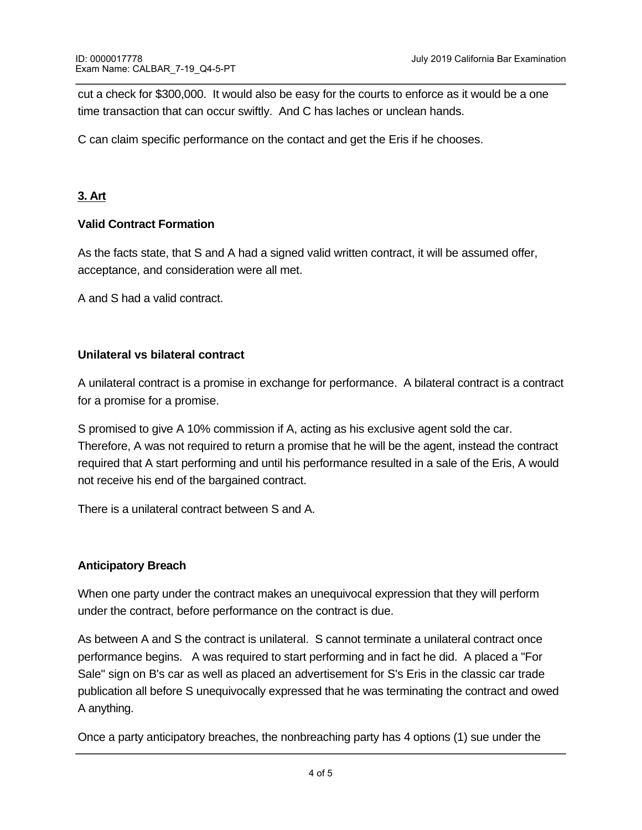cut a check for \$300,000. It would also be easy for the courts to enforce as it would be a one time transaction that can occur swiftly. And C has laches or unclean hands.

C can claim specific performance on the contact and get the Eris if he chooses.

# **3. Art**

# **Valid Contract Formation**

As the facts state, that S and A had a signed valid written contract, it will be assumed offer, acceptance, and consideration were all met.

A and S had a valid contract.

### **Unilateral vs bilateral contract**

A unilateral contract is a promise in exchange for performance. A bilateral contract is a contract for a promise for a promise.

S promised to give A 10% commission if A, acting as his exclusive agent sold the car. Therefore, A was not required to return a promise that he will be the agent, instead the contract required that A start performing and until his performance resulted in a sale of the Eris, A would not receive his end of the bargained contract.

There is a unilateral contract between S and A.

# **Anticipatory Breach**

When one party under the contract makes an unequivocal expression that they will perform under the contract, before performance on the contract is due.

As between A and S the contract is unilateral. S cannot terminate a unilateral contract once performance begins. A was required to start performing and in fact he did. A placed a "For Sale" sign on B's car as well as placed an advertisement for S's Eris in the classic car trade publication all before S unequivocally expressed that he was terminating the contract and owed A anything.

Once a party anticipatory breaches, the nonbreaching party has 4 options (1) sue under the